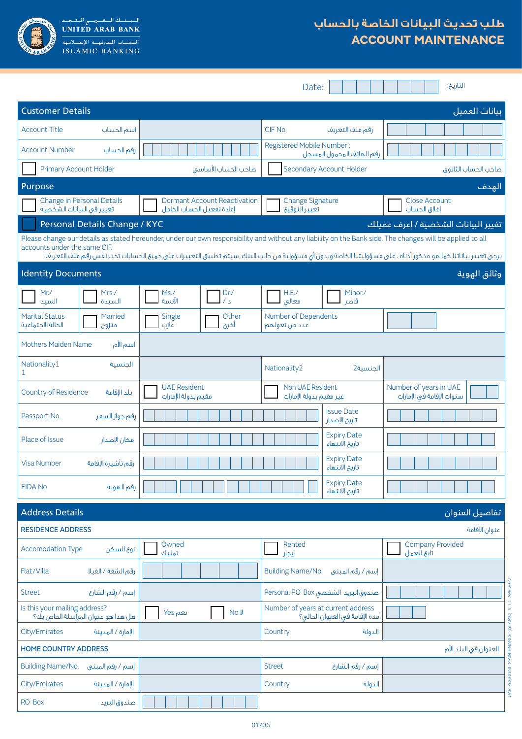

# **طلب تحديث البيانات الخاصة بالحساب ACCOUNT MAINTENANCE**

|                                                                                                                                                                                                                                                                                                                                                             |                                                                                          | Date:                                                  | التاريخ:                                            |  |  |  |
|-------------------------------------------------------------------------------------------------------------------------------------------------------------------------------------------------------------------------------------------------------------------------------------------------------------------------------------------------------------|------------------------------------------------------------------------------------------|--------------------------------------------------------|-----------------------------------------------------|--|--|--|
| <b>Customer Details</b><br><u>سانات العميل</u>                                                                                                                                                                                                                                                                                                              |                                                                                          |                                                        |                                                     |  |  |  |
| <b>Account Title</b><br>اسم الحساب                                                                                                                                                                                                                                                                                                                          |                                                                                          | CIF No.<br>رقم ملف التعريف                             |                                                     |  |  |  |
| <b>Account Number</b><br>رقم الحساب                                                                                                                                                                                                                                                                                                                         |                                                                                          | Registered Mobile Number:<br>رقم الهاتف المحمول المسجل |                                                     |  |  |  |
| Primary Account Holder                                                                                                                                                                                                                                                                                                                                      | صاحب الحساب الأساسق                                                                      | Secondary Account Holder                               | صاحب الحساب الثانوق                                 |  |  |  |
| Purpose                                                                                                                                                                                                                                                                                                                                                     |                                                                                          |                                                        | الهدف                                               |  |  |  |
| Change in Personal Details<br>تغيير فى البيانات الشخصية                                                                                                                                                                                                                                                                                                     | <b>Dormant Account Reactivation</b><br>إعادة تفعيل الحساب الخامل                         | <b>Change Signature</b><br>تغيير التوقيع               | <b>Close Account</b><br>إغلاق الحساب                |  |  |  |
| Personal Details Change / KYC                                                                                                                                                                                                                                                                                                                               |                                                                                          |                                                        | تغيير البيانات الشخصية / إعرف عميلك                 |  |  |  |
| Please change our details as stated hereunder, under our own responsibility and without any liability on the Bank side. The changes will be applied to all<br>accounts under the same CIF.<br>يرجى تغيير بياناتنا كما هو مذكور أدناه ، على مسؤوليتنا الخاصة وبدون أى مسؤولية من جانب البنك. سيتم تطبيق التغييرات على جميع الحسابات تحت نفس رقم ملف التعريف. |                                                                                          |                                                        |                                                     |  |  |  |
| <b>Identity Documents</b>                                                                                                                                                                                                                                                                                                                                   |                                                                                          |                                                        | وثائق الهوية                                        |  |  |  |
| Mrs./<br>Mr. /<br>السىدة<br>السند                                                                                                                                                                                                                                                                                                                           | Ms.<br>Dr.<br>الآنسة                                                                     | H.E.<br>Minor./<br>معالق<br>قاصر                       |                                                     |  |  |  |
| <b>Marital Status</b><br>Married<br>الحالة الاجتماعية<br>متزوج                                                                                                                                                                                                                                                                                              | Other<br>Single<br>عازب<br>أخرى                                                          | Number of Dependents<br>عدد من تعولهم                  |                                                     |  |  |  |
| <b>Mothers Maiden Name</b><br>اسم الأم                                                                                                                                                                                                                                                                                                                      |                                                                                          |                                                        |                                                     |  |  |  |
| Nationality1<br>الحنسية<br>1                                                                                                                                                                                                                                                                                                                                |                                                                                          | Nationality2<br>الحنسىة2                               |                                                     |  |  |  |
| Country of Residence<br>بلد الإقامة                                                                                                                                                                                                                                                                                                                         | <b>UAE Resident</b><br>مقيم بدولة الإمارات                                               | Non UAE Resident<br>غير مقيم بدولة الإمارات            | Number of years in UAE<br>سنوات الإقامة فى الإمارات |  |  |  |
| Passport No.<br>رقم جواز السفر                                                                                                                                                                                                                                                                                                                              |                                                                                          | <b>Issue Date</b><br>تاريخ الإصدار                     |                                                     |  |  |  |
| Place of Issue<br>مكان الإصدار                                                                                                                                                                                                                                                                                                                              |                                                                                          |                                                        |                                                     |  |  |  |
| Visa Number<br>رقم تأشيرة الإقامة                                                                                                                                                                                                                                                                                                                           |                                                                                          | <b>Expiry Date</b><br>تاريخ الانتهاء                   |                                                     |  |  |  |
| <b>EIDA No</b><br>رقم الهوية                                                                                                                                                                                                                                                                                                                                |                                                                                          | <b>Expiry Date</b><br>تاريخ الانتهاء                   |                                                     |  |  |  |
| <b>Address Details</b>                                                                                                                                                                                                                                                                                                                                      |                                                                                          |                                                        | تفاصيل العنوان                                      |  |  |  |
| <b>RESIDENCE ADDRESS</b>                                                                                                                                                                                                                                                                                                                                    |                                                                                          |                                                        | عنوان الإقامة                                       |  |  |  |
| <b>Accomodation Type</b><br>نوع السكن                                                                                                                                                                                                                                                                                                                       | Owned<br>تمليك                                                                           | Rented<br>إيجار                                        | <b>Company Provided</b><br>تابع للعمل               |  |  |  |
| Flat/Villa<br>رقم الشقة / الفيلا                                                                                                                                                                                                                                                                                                                            |                                                                                          | <b>Building Name/No.</b><br>إسم / رقم المبنى           |                                                     |  |  |  |
| إسم / رقم الشارع<br><b>Street</b>                                                                                                                                                                                                                                                                                                                           | صندوق البريد الشخصى Personal P.O Box                                                     |                                                        |                                                     |  |  |  |
| Is this your mailing address?<br>هل هذا هو عنوان المرآسلة الخاص بك؟                                                                                                                                                                                                                                                                                         | Number of years at current address<br>نعم Yes<br>No J<br>ُمدة الإقامة في العنوان الحالي؟ |                                                        | UAB ACCOUNT MAINTENANCE (ISLAMIC) V. 1.1 APR 2022   |  |  |  |
| City/Emirates<br>الإمارة / المدينة<br>Country<br>الدولة                                                                                                                                                                                                                                                                                                     |                                                                                          |                                                        |                                                     |  |  |  |
| العنوان في البلد الأم<br>HOME COUNTRY ADDRESS                                                                                                                                                                                                                                                                                                               |                                                                                          |                                                        |                                                     |  |  |  |
| Building Name/No.<br>إسم / رقم المبنى                                                                                                                                                                                                                                                                                                                       |                                                                                          | <b>Street</b><br>إسم / رقم الشارع                      |                                                     |  |  |  |
| City/Emirates<br>الإمارة / المدينة                                                                                                                                                                                                                                                                                                                          |                                                                                          | Country<br>الدولة                                      |                                                     |  |  |  |
| P.O Box<br>صندوق البريد                                                                                                                                                                                                                                                                                                                                     |                                                                                          |                                                        |                                                     |  |  |  |

01/06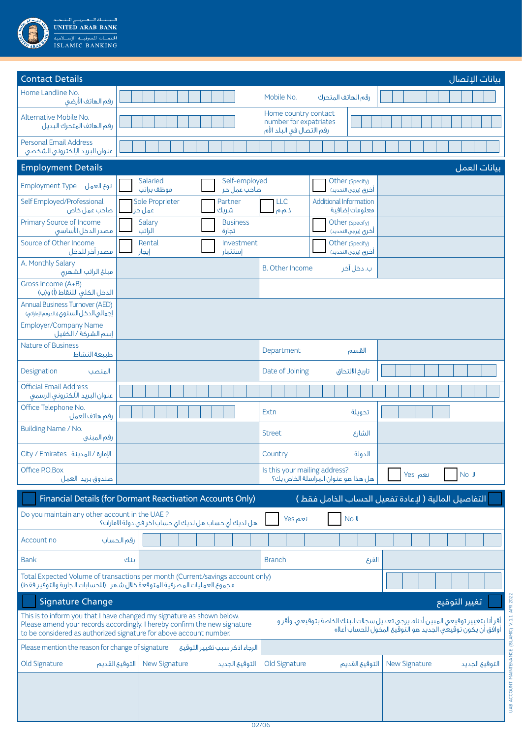

| <b>Contact Details</b><br>بيانات الإتصال                                                                                                                                                                                                                                                                                                                                      |                                                       |                              |                                                                             |                                                 |                                        |  |
|-------------------------------------------------------------------------------------------------------------------------------------------------------------------------------------------------------------------------------------------------------------------------------------------------------------------------------------------------------------------------------|-------------------------------------------------------|------------------------------|-----------------------------------------------------------------------------|-------------------------------------------------|----------------------------------------|--|
| Home Landline No.<br>رقم الهاتف الأرضى                                                                                                                                                                                                                                                                                                                                        |                                                       |                              | Mobile No.                                                                  | رقم الهاتف المتحرك                              |                                        |  |
| Alternative Mobile No.<br>رقم الهاتف المتحرك البديل                                                                                                                                                                                                                                                                                                                           |                                                       |                              | Home country contact<br>number for expatriates<br>رقم الاتصال في البلد الأم |                                                 |                                        |  |
| <b>Personal Email Address</b><br>عنوان البريد الإلكترونى الشخصى                                                                                                                                                                                                                                                                                                               |                                                       |                              |                                                                             |                                                 |                                        |  |
| <b>Employment Details</b>                                                                                                                                                                                                                                                                                                                                                     |                                                       |                              |                                                                             |                                                 | بيانات العمل                           |  |
| Employment Type نوع العمل                                                                                                                                                                                                                                                                                                                                                     | Salaried<br>موظف براتب                                | Self-employed<br>صاحب عمل حر |                                                                             | Other (Specify)<br>أخرى (يرجى التحديد)          |                                        |  |
| Self Employed/Professional<br>صاحب عمل خاص                                                                                                                                                                                                                                                                                                                                    | Sole Proprieter<br>عمل حر                             | Partner<br>شريك              | <b>LLC</b><br>ذ.م.م                                                         | <b>Additional Information</b><br>معلومات إضافية |                                        |  |
| Primary Source of Income<br>فصدر الدخل الأساسق                                                                                                                                                                                                                                                                                                                                | Salary<br>الراتب                                      | <b>Business</b><br>تجارة     |                                                                             | Other (Specify)<br>أخرق (يرجى التحديد)          |                                        |  |
| Source of Other Income<br>مصدر آخر للدخل                                                                                                                                                                                                                                                                                                                                      | Rental<br>إيجار                                       | Investment<br>إستثمار        |                                                                             | Other (Specify)<br>أخرى (يرجى التحديد)          |                                        |  |
| A. Monthly Salary<br>مبلغ الراتب الشهرى                                                                                                                                                                                                                                                                                                                                       |                                                       |                              | <b>B.</b> Other Income                                                      | ب. دخل آخر                                      |                                        |  |
| Gross Income (A+B)<br>الدخل الكلي للنقاط (أ) و(ب)                                                                                                                                                                                                                                                                                                                             |                                                       |                              |                                                                             |                                                 |                                        |  |
| <b>Annual Business Turnover (AED)</b><br>إجمالي الدخل السنوق (بالدرهم الإماراتي)                                                                                                                                                                                                                                                                                              |                                                       |                              |                                                                             |                                                 |                                        |  |
| <b>Employer/Company Name</b><br>إسم الشركة / الكفيل                                                                                                                                                                                                                                                                                                                           |                                                       |                              |                                                                             |                                                 |                                        |  |
| <b>Nature of Business</b><br>طبيعة النشاط                                                                                                                                                                                                                                                                                                                                     |                                                       |                              | Department                                                                  | القسم                                           |                                        |  |
| Designation<br>المنصب                                                                                                                                                                                                                                                                                                                                                         |                                                       |                              | Date of Joining                                                             | تاريخ الالتحاق                                  |                                        |  |
| <b>Official Email Address</b><br>عنوان البريد الألكترونى الرسمى                                                                                                                                                                                                                                                                                                               |                                                       |                              |                                                                             |                                                 |                                        |  |
| Office Telephone No.<br>رقم هاتف العمل                                                                                                                                                                                                                                                                                                                                        |                                                       |                              | Extn                                                                        | تحويلة                                          |                                        |  |
| Building Name / No.<br>رقم المبني                                                                                                                                                                                                                                                                                                                                             |                                                       |                              | <b>Street</b>                                                               | الشارع                                          |                                        |  |
| Oity / Emirates أللهدينة                                                                                                                                                                                                                                                                                                                                                      |                                                       |                              | Country                                                                     | الدولة                                          |                                        |  |
| Office P.O.Box<br>صندوق بريد العمل                                                                                                                                                                                                                                                                                                                                            |                                                       |                              | Is this your mailing address?                                               | هل هذا هو عنوان المراسلة الخاص بك؟              | نعم Yes<br>No J                        |  |
| Financial Details (for Dormant Reactivation Accounts Only)<br>التفاصيل المالية ( لإعادة تفعيل الحساب الخامل فقط )                                                                                                                                                                                                                                                             |                                                       |                              |                                                                             |                                                 |                                        |  |
| Do you maintain any other account in the UAE?                                                                                                                                                                                                                                                                                                                                 | هل لديك أي حساب هل لديك اي حساب اخر في دولة الامارات؟ |                              | نعم Yes                                                                     | No J                                            |                                        |  |
| Account no                                                                                                                                                                                                                                                                                                                                                                    | رقم الحساب                                            |                              |                                                                             |                                                 |                                        |  |
| <b>Bank</b>                                                                                                                                                                                                                                                                                                                                                                   | بنك                                                   |                              | <b>Branch</b>                                                               | الفرع                                           |                                        |  |
| Total Expected Volume of transactions per month (Current/savings account only)<br>مجموع العمليات المصرفية المتوقعة خلال شهر (للحسابات الجارية والتوفير فقط)                                                                                                                                                                                                                   |                                                       |                              |                                                                             |                                                 |                                        |  |
| <b>Signature Change</b><br>تغيير التوقيع                                                                                                                                                                                                                                                                                                                                      |                                                       |                              |                                                                             |                                                 |                                        |  |
| This is to inform you that I have changed my signature as shown below.<br>أقر أنا بتغيير توقيعى المبين أدناه. يرجى تعديل سجلات البنك الخاصة بتوقيعى. وأقر و<br>Please amend your records accordingly. I hereby confirm the new signature<br>أوافق أن يكون توقيعهى الجديد هو التوقيع المخول للحساب أعلاه<br>to be considered as authorized signature for above account number. |                                                       |                              |                                                                             |                                                 |                                        |  |
| Please mention the reason for change of signature<br>الرجاء اذكر سبب تغيير التوقيع                                                                                                                                                                                                                                                                                            |                                                       |                              |                                                                             |                                                 |                                        |  |
| Old Signature                                                                                                                                                                                                                                                                                                                                                                 | التوقيع القديم<br><b>New Signature</b>                | التوقيع الجديد               | Old Signature                                                               | التوقيع القديم                                  | <b>New Signature</b><br>التوقيع الجديد |  |
|                                                                                                                                                                                                                                                                                                                                                                               |                                                       |                              |                                                                             |                                                 |                                        |  |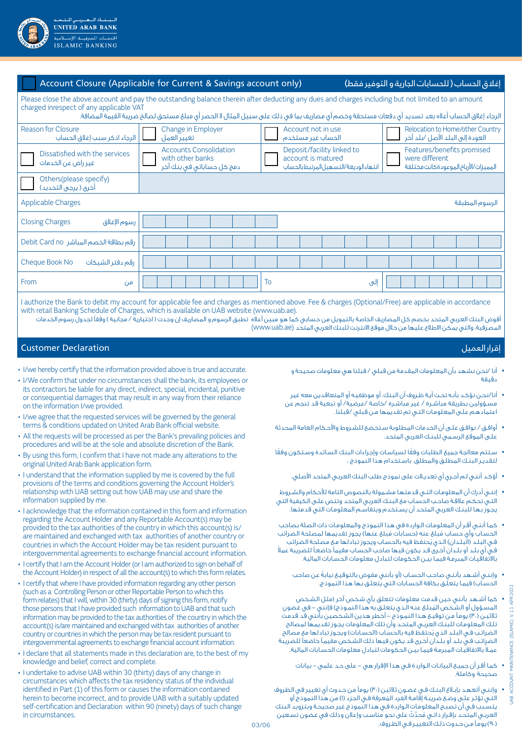

|                                                                                                                                                                                                                                                                                                                                                   | Account Closure (Applicable for Current & Savings account only)<br>إغلاق الحساب ( للحسابات الجارية و التوفير فقط)                                                                                                                                                    |  |  |  |  |  |
|---------------------------------------------------------------------------------------------------------------------------------------------------------------------------------------------------------------------------------------------------------------------------------------------------------------------------------------------------|----------------------------------------------------------------------------------------------------------------------------------------------------------------------------------------------------------------------------------------------------------------------|--|--|--|--|--|
| Please close the above account and pay the outstanding balance therein after deducting any dues and charges including but not limited to an amount<br>charged inrespect of any applicable VAT<br>الرجاء إغلاق الحساب أعلاه بعد تسديد أى دفعات مستحقة وخصم أى مصاريف بما فى ذلك على سبيل المثال لا الحصر أى مبلغ مستحق لصالح ضريبة القيمة المضافة. |                                                                                                                                                                                                                                                                      |  |  |  |  |  |
| Reason for Closure<br>الرجاء اذكر سبب إغلاق الحساب                                                                                                                                                                                                                                                                                                | Relocation to Home/other Country<br>Change in Employer<br>Account not in use<br>العودة إلى البلد الأصل /بلد آخر<br>تغيير العمل<br>الحساب غير مستخدم                                                                                                                  |  |  |  |  |  |
| Dissatisfied with the services<br>غير راض عن الخدمات                                                                                                                                                                                                                                                                                              | <b>Accounts Consolidation</b><br>Deposit/facility linked to<br>Features/benefits promised<br>with other banks<br>account is matured<br>were different<br>المميزات/الأرباح الموعودة كانت مختلفة<br>دمج کل حساباتی فی بنك آخر<br>انتهاء الوديعة/التسهيل لمرتبط بالحساب |  |  |  |  |  |
| Others(please specify)<br>أخرى ( يرجى التحديد)                                                                                                                                                                                                                                                                                                    |                                                                                                                                                                                                                                                                      |  |  |  |  |  |
| <b>Applicable Charges</b>                                                                                                                                                                                                                                                                                                                         | الرسوم المطبقة                                                                                                                                                                                                                                                       |  |  |  |  |  |
| <b>Closing Charges</b><br>رسوم الإغلاق                                                                                                                                                                                                                                                                                                            |                                                                                                                                                                                                                                                                      |  |  |  |  |  |
| رقم بطاقة الخصم المباشر Debit Card no                                                                                                                                                                                                                                                                                                             |                                                                                                                                                                                                                                                                      |  |  |  |  |  |
| Cheque Book No<br>رقم دفتر الشيكات                                                                                                                                                                                                                                                                                                                |                                                                                                                                                                                                                                                                      |  |  |  |  |  |
| From<br>من                                                                                                                                                                                                                                                                                                                                        | To<br>إلىي                                                                                                                                                                                                                                                           |  |  |  |  |  |
|                                                                                                                                                                                                                                                                                                                                                   |                                                                                                                                                                                                                                                                      |  |  |  |  |  |

I authorize the Bank to debit my account for applicable fee and charges as mentioned above. Fee & charges (Optional/Free) are applicable in accordance with retail Banking Schedule of Charges, which is available on UAB website (www.uab.ae).

أفوض البنك العربي المتحد بخصم كل المصاريف الخاصة بالتمويل من حسابي كما هو مبين أعاله تطبق الرسوم و المصاريف إن وجدت ) اختيارية / مجانية ( وفقًا لجدول رسوم الخدمات المصرفية، والتي يمكن الاطلاع عليها من خلال موقع الانترنت للبنك العربي المتحد (www.uab.ae)

#### إقرار العميل Declaration Customer

- I/we hereby certify that the information provided above is true and accurate.
- I/We confirm that under no circumstances shall the bank, its employees or its contractors be liable for any direct, indirect, special, incidental, punitive or consequential damages that may result in any way from their reliance on the information I/we provided.
- I/we agree that the requested services will be governed by the general terms & conditions updated on United Arab Bank official website.
- All the requests will be processed as per the Bank's prevailing policies and procedures and will be at the sole and absolute discretion of the Bank.
- By using this form, I confirm that I have not made any alterations to the original United Arab Bank application form.
- I understand that the information supplied by me is covered by the full provisions of the terms and conditions governing the Account Holder's relationship with UAB setting out how UAB may use and share the information supplied by me.
- I acknowledge that the information contained in this form and information regarding the Account Holder and any Reportable Account(s) may be provided to the tax authorities of the country in which this account(s) is/ are maintained and exchanged with tax authorities of another country or countries in which the Account Holder may be tax resident pursuant to intergovernmental agreements to exchange financial account information.
- I certify that I am the Account Holder (or I am authorized to sign on behalf of the Account Holder) in respect of all the account(s) to which this form relates.
- I certify that where I have provided information regarding any other person (such as a Controlling Person or other Reportable Person to which this form relates) that I will, within 30 (thirty) days of signing this form, notify those persons that I have provided such information to UAB and that such information may be provided to the tax authorities of the country in which the account(s) is/are maintained and exchanged with tax authorities of another country or countries in which the person may be tax resident pursuant to intergovernmental agreements to exchange financial account information.
- I declare that all statements made in this declaration are, to the best of my knowledge and belief, correct and complete.
- I undertake to advise UAB within 30 (thirty) days of any change in circumstances which affects the tax residency status of the individual identified in Part (1) of this form or causes the information contained herein to become incorrect, and to provide UAB with a suitably updated self-certification and Declaration within 90 (ninety) days of such change in circumstances.
- 
- أنا /نحن نشهد بأن المعلومات المقدمة من قبلي / فبلنا هي معلومات صحيحة و دقيقة
- أنا/نحـن نؤكـد بأنـه تحـت أيـة ظـروف أن البنك، أو موظفيـه أو المتعاقدين معه غير مسـؤولين بطريقة مباشـرة / غير مباشـرة /خاصة /عرضية/ أو تبعية قد تنجم عن اعتمادهـم علـى المعلومـات التـي تم تقديمها مـن قبلي /قبلنا.
- أوافـق / نوافـق علـى أن الخدمات المطلوبة سـتخضع للشـروط واألحـكام العامة المحدثة علـى الموقع الرسـمي للبنـك العربي المتحد.
- ً سـتتم معالجة جميع الطلبات وفق ً ا لسياسـات وإجراءات البنك السـائدة وسـتكون وفقا لتقديـر البنـك المطلـق والمطلق. باسـتخدام هذا النموذج ،
	- أؤكـد أننـي لـم أجـري أي تعديـات على نموذج طلب البنك العربـي المتحد األصلي.
- إننـي أدرك أن المعلومـات التـي قدمتهـا مشـمولة بالنصوص التامة لألحكام والشـروط التـي تحكـم عالقـة صاحـب الحسـاب مع البنـك العربي المتحد وتنص علـى الكيفية التي يجـوز بهـا للبنـك العربي المتحد أن يسـتخدم ويتقاسـم المعلومـات التي قدمتها.
- كمـا أننـي أقـر أن المعلومـات الـواردة في هذا النموذج والمعلومـات ذات الصلة بصاحب الحساب وأي حساب مُبلغ عنه (حسابات مُبلغ عنها) يجوز تقديمها لمصلحة الضرائب فـي البـلـد (الّبـلـدان) الـذي يُحتفظ فيه بالحساب ويجوز تبادلها مـع مصلحة الضرائب فـي أي بلـد أو بلـدان أخـرى قـد يكون فيها صاحب الحسـاب مقيمًا خاضعـً ً للضريبة عمال باالتفاقيـات المبرمـة فيمـا بيـن الحكومات لتبادل معلومات الحسـابات المالية.
	- ً وإننـي أشـهد بأننـي صاحـب الحسـاب )أو بأنني مفوض بالتوقيـع نيابة عن صاحب الحساب) فيما يتعلّـق بكافة الحسابات التي يتعلـق بها هذا النموذج.
- كما أشـهد بأنني حين قدمت معلومات تتعلق بأي شـخص آخر )مثل الشـخص المسؤول أو الشـخص المُبلـغ عنـه الـذي يتعلـق به هذا النمـوذج) فإنني – في غضون ثلاثيـن (٣٠) يومـاً مـن توقيـع هـذا النمـوذج – أخطر هذين الشخصين بأنني قد قدمت تلـك المعلومـات للبنـك العربـي المتحـد وأن تلك المعلومات يجـوز تقديمها لمصالح الضرائب فـي البـلـد الذي يُحتفظ فيه بالحسـاب (الحسـابات) ويجـوز تبادلها مع مصالح الضرائـب فـي بلـد أو بلـدان أخـرى قد يكون فيها ذلك الشـخص مقيمـً خاضعًا للضريبة عمـ ًا باالتفاقيـات المبرمـة فيمـا بيـن الحكومات لتبادل معلومات الحسـابات المالية.
	- كمـا أقـر أن جميـع البيانـات الـواردة فـي هذا اإلقرار هي على حـد علمي بيانات صحيحة وكاملة.
- وإننـي أتعهـد بإبـاغ البنـك فـي غضـون ثالثين )30( يومًا من حـدوث أي تغيير في الظروف لتـي تؤثـر علـى وضـع ضريبـة إقامـة الفرد المُعرفة فـي الجزء (١) من هذا النموذج أو يتسـبب فـي أن تصبـح المعلومـات الـواردة فـي هذا النموذج غير صحيحـة وبتزويد البنك العربـي المتحـد بإقـرار ذاتـي مُحدّثّ على نحو مناسـب وإعلان وذلك في غضون تسـعين )90( يومـً مـن حـدوث ذلـك التغييـر فـي الظـروف.

**B**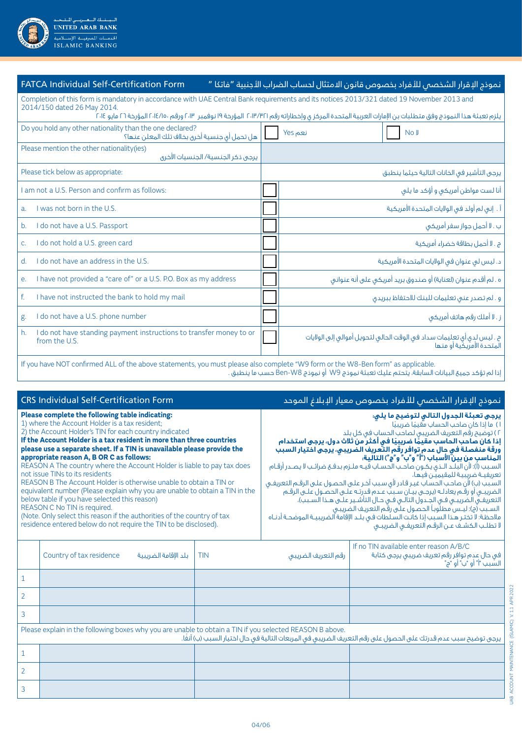

| <b>FATCA Individual Self-Certification Form</b>                                                                                                                                                                                                                                                                                    | نموذج الإقرار الشخصص للأفراد بخصوص قانون الامتثال لحساب الضراب الأجنبية "فاتكا "                    |  |  |  |  |
|------------------------------------------------------------------------------------------------------------------------------------------------------------------------------------------------------------------------------------------------------------------------------------------------------------------------------------|-----------------------------------------------------------------------------------------------------|--|--|--|--|
| Completion of this form is mandatory in accordance with UAE Central Bank requirements and its notices 2013/321 dated 19 November 2013 and<br>2014/150 dated 26 May 2014.<br>يلزم تعبئة هذا النموذج وفق متطلبات بن الإمارات العربية المتحدة المركز ى وإخطاراته رقم ٣١٢/٣٢١ المؤرخة ١٩ نوفمبر ١٣٠٣، ورقم ١٤/١٠، المؤرخة ٢٦ مايو ٢٠١٤ |                                                                                                     |  |  |  |  |
| Do you hold any other nationality than the one declared?<br>هل تحمل أي جنسية أخرق بخلاف تلك المعلن عنها؟                                                                                                                                                                                                                           | نعم Yes<br>No J                                                                                     |  |  |  |  |
| Please mention the other nationality(ies)<br>يرجى ذكر الجنسية/ الجنسيات الآخرى                                                                                                                                                                                                                                                     |                                                                                                     |  |  |  |  |
| Please tick below as appropriate:                                                                                                                                                                                                                                                                                                  | يرجى التأشير فى الخانات التالية حيثما ينطبق                                                         |  |  |  |  |
| Lam not a U.S. Person and confirm as follows:                                                                                                                                                                                                                                                                                      | أنا لست مواطن أمريكي و أؤكد ما يلي                                                                  |  |  |  |  |
| I was not born in the U.S.<br>a <sub>r</sub>                                                                                                                                                                                                                                                                                       | آ . إنى لم أولد فى الولايات المتحدة الأمريكية                                                       |  |  |  |  |
| I do not have a U.S. Passport<br>b.                                                                                                                                                                                                                                                                                                | ب . لا أحمل جواز سفر أمريكي                                                                         |  |  |  |  |
| do not hold a U.S. green card<br>C <sub>1</sub>                                                                                                                                                                                                                                                                                    | ج . لا أحمل بطاقة خضراء أمريكية                                                                     |  |  |  |  |
| do not have an address in the U.S.<br>$\mathsf{d}$                                                                                                                                                                                                                                                                                 | د. ليس لم عنوان فى الولايات المتحدة الأمريكية                                                       |  |  |  |  |
| I have not provided a "care of" or a U.S. P.O. Box as my address<br>e.                                                                                                                                                                                                                                                             | ه . لم أقدم عنوان (لعناية) أو صندوق بريد أمريكي على أنه عنواني                                      |  |  |  |  |
| I have not instructed the bank to hold my mail<br>f.                                                                                                                                                                                                                                                                               | و . لم تصدر عنى تعليمات للبنك للاحتفاظ ببريدى                                                       |  |  |  |  |
| I do not have a U.S. phone number<br>g.                                                                                                                                                                                                                                                                                            | ز . لا أملك رقم هاتف أمريكى                                                                         |  |  |  |  |
| I do not have standing payment instructions to transfer money to or<br>h.<br>from the U.S.                                                                                                                                                                                                                                         | ح . ليس لدى أى تعليمات سداد فى الوقت الحالى لتحويل أموالى إلى الولايات<br>المتحدة الأمريكية آو منها |  |  |  |  |

If you have NOT confirmed ALL of the above statements, you must please also complete "W9 form or the W8-Ben form" as applicable. إذا لم تؤكد جميع البيانات السابقة، يتحتم عليك تعبئة نموذج 9W أو نموذج 8W-Ben حسب ما ينطبق .

|                                                                                                                                                                                                                                                                                                                                                                                                                                                                                                                                                                                                                                                                                                                                                                                                                                                               | <b>CRS Individual Self-Certification Form</b>    |                                                                                                                                                                                                                                                                                                                                                                                                                                                                                                                                                                                                                                                                                                                                                                                                                                                                                                                                                                              | نموذج الإقرار الشخصص للأفراد بخصوص معيار الإبلاغ الموحد |                                                                                                                    |  |
|---------------------------------------------------------------------------------------------------------------------------------------------------------------------------------------------------------------------------------------------------------------------------------------------------------------------------------------------------------------------------------------------------------------------------------------------------------------------------------------------------------------------------------------------------------------------------------------------------------------------------------------------------------------------------------------------------------------------------------------------------------------------------------------------------------------------------------------------------------------|--------------------------------------------------|------------------------------------------------------------------------------------------------------------------------------------------------------------------------------------------------------------------------------------------------------------------------------------------------------------------------------------------------------------------------------------------------------------------------------------------------------------------------------------------------------------------------------------------------------------------------------------------------------------------------------------------------------------------------------------------------------------------------------------------------------------------------------------------------------------------------------------------------------------------------------------------------------------------------------------------------------------------------------|---------------------------------------------------------|--------------------------------------------------------------------------------------------------------------------|--|
| Please complete the following table indicating:<br>1) where the Account Holder is a tax resident;<br>2) the Account Holder's TIN for each country indicated<br>If the Account Holder is a tax resident in more than three countries<br>please use a separate sheet. If a TIN is unavailable please provide the<br>appropriate reason A, B OR C as follows:<br>REASON A The country where the Account Holder is liable to pay tax does<br>not issue TINs to its residents<br>REASON B The Account Holder is otherwise unable to obtain a TIN or<br>equivalent number (Please explain why you are unable to obtain a TIN in the<br>below table if you have selected this reason)<br>REASON C No TIN is required.<br>(Note. Only select this reason if the authorities of the country of tax<br>residence entered below do not require the TIN to be disclosed). |                                                  | يرجى تعبئة الجدول التالى لتوضيح ما يلى:<br>١) ما إذا كان صاحب الحساب مقيمًا ضريبيًا<br>٢) توضيح رقم التعريف الضريبي لصاحب الحساب في كل بلد<br>إذا كان صاحب الحاسب مقيمًا ضريبيًا في أكثر ّمن ثلاث دول، يرجى استخدام<br>.<br>ورقة منفصلة في حال عدم توافر رَّقَم التَّعريفُ الضَّريبيِ، يُرَجَّى اختيار السببِ<br>المناسب من بين الأسباب ( ؓ ( ٌ ب ٌ و ؒ ۾ ؒ) التالية.<br>السـبب (أ): لأن البلـد الـذى يكـون صاحـب الحسـاب فيـه ملـزم بدفـع ضرائـب لا يصـدر أرقـام<br>تعريفيـة ضريبيـة للمقيميّن فيها،<br>السبب (ب) لأن صاحب الحساب غير قادر لأق سبب آخر على الحصول على الرقـم التعريفـى<br>الضريبــي أو رقــم يعادلـه (يرجــي بيــان ســببّ عــدم قدرتـه علــي الحصــول علــي الرقــم<br>التعريفـي الضريبـي فـي الجـدول التالـي فـي حـال التأشـير علـي هـذا السـبب)،<br>السـبب (م): ليـس مطلَّوباً الحصـول علـَّى رقَّم التعريـف الضريبـى<br>ملاحظة: لا تختر هذا السبب إذا كانت السلطات في بلـد الإقامة الضريبيـة الموضحـة أدنـاه<br>لا تطلب الكشف عن الرقم التعريفى الضريبى |                                                         |                                                                                                                    |  |
|                                                                                                                                                                                                                                                                                                                                                                                                                                                                                                                                                                                                                                                                                                                                                                                                                                                               | Country of tax residence<br>يلد الاقامة الضربيبة | <b>TIN</b>                                                                                                                                                                                                                                                                                                                                                                                                                                                                                                                                                                                                                                                                                                                                                                                                                                                                                                                                                                   | رقم التعريف الضريبى                                     | If no TIN available enter reason A/B/C<br>فی حال عدم توافر رقم تعریف ضریبی پرجی کتابة<br>السَّبب "أ" أو "ب" أو "ج" |  |
| 1                                                                                                                                                                                                                                                                                                                                                                                                                                                                                                                                                                                                                                                                                                                                                                                                                                                             |                                                  |                                                                                                                                                                                                                                                                                                                                                                                                                                                                                                                                                                                                                                                                                                                                                                                                                                                                                                                                                                              |                                                         |                                                                                                                    |  |
| 2                                                                                                                                                                                                                                                                                                                                                                                                                                                                                                                                                                                                                                                                                                                                                                                                                                                             |                                                  |                                                                                                                                                                                                                                                                                                                                                                                                                                                                                                                                                                                                                                                                                                                                                                                                                                                                                                                                                                              |                                                         |                                                                                                                    |  |
| 3                                                                                                                                                                                                                                                                                                                                                                                                                                                                                                                                                                                                                                                                                                                                                                                                                                                             |                                                  |                                                                                                                                                                                                                                                                                                                                                                                                                                                                                                                                                                                                                                                                                                                                                                                                                                                                                                                                                                              |                                                         |                                                                                                                    |  |
| Please explain in the following boxes why you are unable to obtain a TIN if you selected REASON B above.<br>يرجى توضيح سبب عدم قدرتك على الحصول على رقم التعريف الضريبى فى المربعات التالية فى حال اختيار السبب (ب) آنفًا.                                                                                                                                                                                                                                                                                                                                                                                                                                                                                                                                                                                                                                    |                                                  |                                                                                                                                                                                                                                                                                                                                                                                                                                                                                                                                                                                                                                                                                                                                                                                                                                                                                                                                                                              |                                                         |                                                                                                                    |  |
| 1                                                                                                                                                                                                                                                                                                                                                                                                                                                                                                                                                                                                                                                                                                                                                                                                                                                             |                                                  |                                                                                                                                                                                                                                                                                                                                                                                                                                                                                                                                                                                                                                                                                                                                                                                                                                                                                                                                                                              |                                                         |                                                                                                                    |  |
| $\overline{2}$                                                                                                                                                                                                                                                                                                                                                                                                                                                                                                                                                                                                                                                                                                                                                                                                                                                |                                                  |                                                                                                                                                                                                                                                                                                                                                                                                                                                                                                                                                                                                                                                                                                                                                                                                                                                                                                                                                                              |                                                         |                                                                                                                    |  |
| 3                                                                                                                                                                                                                                                                                                                                                                                                                                                                                                                                                                                                                                                                                                                                                                                                                                                             |                                                  |                                                                                                                                                                                                                                                                                                                                                                                                                                                                                                                                                                                                                                                                                                                                                                                                                                                                                                                                                                              |                                                         |                                                                                                                    |  |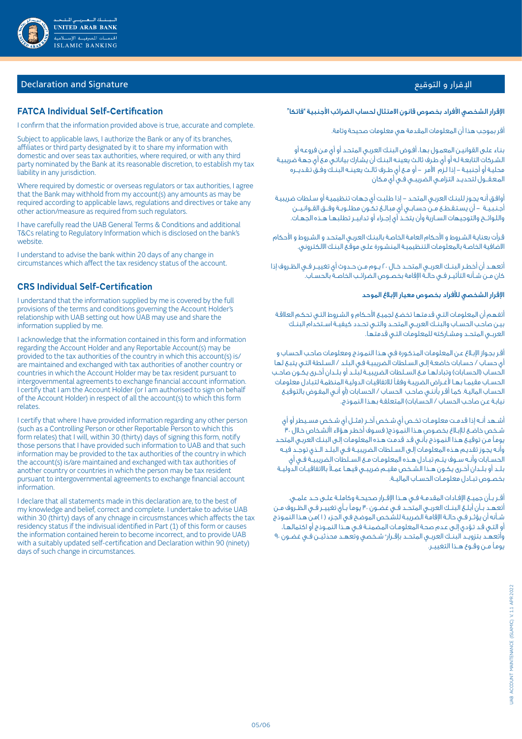

# اإلقرار و التوقيع Signature and Declaration

### **FATCA Individual Self-Certification**

I confirm that the information provided above is true, accurate and complete.

Subject to applicable laws, I authorize the Bank or any of its branches, affiliates or third party designated by it to share my information with domestic and over seas tax authorities, where required, or with any third party nominated by the Bank at its reasonable discretion, to establish my tax liability in any jurisdiction.

Where required by domestic or overseas regulators or tax authorities, I agree that the Bank may withhold from my account(s) any amounts as may be required according to applicable laws, regulations and directives or take any other action/measure as required from such regulators.

I have carefully read the UAB General Terms & Conditions and additional T&Cs relating to Regulatory Information which is disclosed on the bank's website.

I understand to advise the bank within 20 days of any change in circumstances which affect the tax residency status of the account.

## **CRS Individual Self-Certification**

I understand that the information supplied by me is covered by the full provisions of the terms and conditions governing the Account Holder's relationship with UAB setting out how UAB may use and share the information supplied by me.

I acknowledge that the information contained in this form and information regarding the Account Holder and any Reportable Account(s) may be provided to the tax authorities of the country in which this account(s) is/ are maintained and exchanged with tax authorities of another country or countries in which the Account Holder may be tax resident pursuant to intergovernmental agreements to exchange financial account information. I certify that I am the Account Holder (or I am authorised to sign on behalf of the Account Holder) in respect of all the account(s) to which this form relates.

I certify that where I have provided information regarding any other person (such as a Controlling Person or other Reportable Person to which this form relates) that I will, within 30 (thirty) days of signing this form, notify those persons that I have provided such information to UAB and that such information may be provided to the tax authorities of the country in which the account(s) is/are maintained and exchanged with tax authorities of another country or countries in which the person may be tax resident pursuant to intergovernmental agreements to exchange financial account information.

I declare that all statements made in this declaration are, to the best of my knowledge and belief, correct and complete. I undertake to advise UAB within 30 (thirty) days of any chnage in circusmstances which affects the tax residency status if the indivisual identified in Part (1) of this form or causes the information contained herein to become incorrect, and to provide UAB with a suitably updated self-certification and Declaration within 90 (ninety) days of such change in circumstances.

#### الإقرار الشخصي الأفراد بخصوص قانون الامتثال لحساب الضرائب الأجنبية "فاتكا"

أقر بموجب هذا أن المعلومات المقدمة هي معلومات صحيحة وتامة.

بنـاء علـى القوانيـن المعمـول بهـا، أفـوض البنـك العربـي المتحـد أو أي مـن فروعـه أو الشـركات التابعـة لـه أو أي طـرف ثالـث يعينـه البنـك أن يشـارك بياناتـي مـع أي جهـة ضريبيـة محليـة أو أجنبيـة - إذا لـزم األمر - أو مــع أي طــرف ثالــث يعينــه البنــك وفــق تـقـديـــره المـعـقــول لتحديــد التزامــي الضريبــي فــي أي مـكان

أوافـق أنـه يجـوز للبنـك العربـي المتحـد - إذا طلبـت أي جهـات تنظيميـة أو سـلطات ضريبيـة أجـنـبـيــة – أن يسـتـقـطــع مــن حسـابــى أي مبـالــغ تـكــون مطلــوبــة وفــق القــوانـيـــن واللـوائـــح والتوجيهات الســارية وأن يتخــذ أي إجــراء أو تدابيــر تطلبهــا هــذه الجهــات.

قـرأت بعنايـة الشـروط و األحكام العامـة الخاصـة بالبنـك العربـي المتحـد و الشـروط و األحكام االضافية الخاصـة بالمعلومـات التنظيميـة المنشـورة علـى موقـع البنـك االلكتروني.

أتعهــد أن أخطــر البنــك العربــي المتحــد خــال 20 يــوم مــن حــدوث أي تغييــر فــي الظــروف إذا كان مــن شــأنه التأثيــر فــي حالــة اإلقامة بخصــوص الضرائــب الخاصــة بالحســاب.

#### اإلقرار الشخصي لألفراد بخصوص معيار اإلبالغ الموحد

أتفهـم أن المعلومـات التـي قدمتهـا تخضـع لجميـع األحـكام و الشـروط التـي تحكـم العالقـة بيـن صاحـب الحســاب والبنــك العربــي المتحــد والتــي تحــدد كيفيــة اســتخدام البنــك العربــي المتحــد ومشــاركته للمعلومـات التـي قدمتهـا.

أقـر بجـواز اإلبـالغ عـن المعلومـات المذكـورة فـي هـذا النمـوذج ومعلومـات صاحـب الحسـاب و أي حسـاب / حسـابات خاضعـة إلـى السـلطات الضريبيـة فـي البلـد / السـلطة التـي يتبـع لهـا الحساب (الحسابات) وتبادلهـا مـع الســلطات الضريبيــة لبلــد أو بلــدان أخـرى يكــون صاحـب الحســاب مقيمــا بهــا ألغــراض الضريبـة وفقـًا لالتفاقيـات الدوليـة المنظمـة لتبـادل معلومـات الحسـاب الماليـة. كمـا أقـر بأننـي صاحـب الحسـاب / الحسـابات )أو أنـي المفـوض بالتوقيـع نيابـة عـن صاحـب الحسـاب / الحسـابات) المتعلقـة بهـذا النمـوذج.

أشــهد أنــه إذا قدمـت معلومـات تخــص أى شـخص آخــر (مثــل أى شـخص مســيطر أو أى شـخص خاضـع للإبـلاغ بخصـوص هـذا النمـوذج( فسـوف أخطـر هـوَّلاء األشـخاص خـلال ،٣٠ يومـًا مـن توقيـع هـذا النمـوذج بأنـي قـد قدمـت هـذه المعلومـات إلـى البنـك العربـي المتحـد وأنـه يجـوز تقديـم هـذه المعلومـات إلـى الســلطات الضريبيــة فــي البلــد الــذي توجــد فيــه الحســابات وأنــه ســوف يتــم تبــادل هــذه المعلومــات مــع الســلطات الضريبيــة فــي أي ً بلــد أو بلــدان أخــرى يكــون هــذا الشــخص مقيــم ضريبــي فيهــا عمــال باالتفاقيــات الدوليــة بخصــوص تبــادل معلومــات الحســاب الماليــة.

أقــر بــأن جميــع الإفـادات المقدمــة فــي هــذا الإقــرار صحيحــة وكاملــة علــى حــد علمــى. أتعهــد بــأن أبلــغ البنــك العربــي المتحــد فــي غضــون 30 يومـًا بــأي تغييــر فــي الظــروف مــن شــأنه أن يؤثــر فــي حالــة اإلقامـة الضريبـة للشـخص الموضـح فـي الجـزء ) 1 (مـن هـذا النمـوذج أو التـي قـد تـؤدي إلـى عـدم صحـة المعلومــات المضمنــة فــي هــذا النمــوذج أو اكتمالهــا، واتعهـد بتزويــد البنــك العربــي المتحــد بإقـرار" شـخصي وتعهــد محدّثيــن فـي غضـون ٩٠ يومـًا مــن وقــوع هــذا التغييــر.